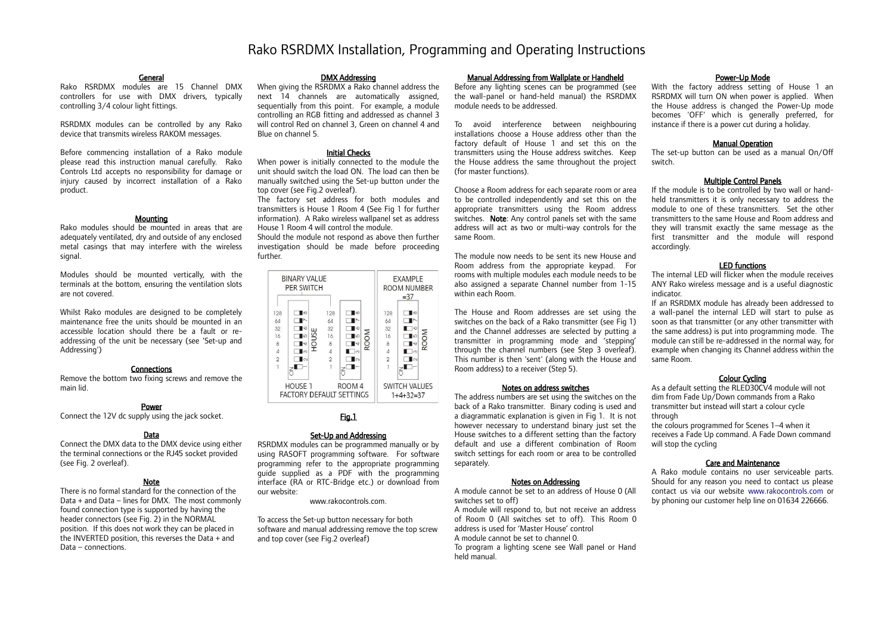# Rako RSRDMX Installation, Programming and Operating Instructions

#### **General**

Rako RSRDMX modules are 15 Channel DMX controllers for use with DMX drivers, typically controlling 3/4 colour light fittings.

RSRDMX modules can be controlled by any Rako device that transmits wireless RAKOM messages.

Before commencing installation of a Rako module please read this instruction manual carefully. Rako Controls Ltd accepts no responsibility for damage or injury caused by incorrect installation of a Rako product.

#### Mounting

Rako modules should be mounted in areas that are adequately ventilated, dry and outside of any enclosed metal casings that may interfere with the wireless signal.

Modules should be mounted vertically, with the terminals at the bottom, ensuring the ventilation slots are not covered.

Whilst Rako modules are designed to be completely maintenance free the units should be mounted in an accessible location should there be a fault or readdressing of the unit be necessary (see 'Set-up and Addressing')

# **Connections**

Remove the bottom two fixing screws and remove the main lid.

# Power

Connect the 12V dc supply using the jack socket.

# Data

Connect the DMX data to the DMX device using either the terminal connections or the RJ45 socket provided (see Fig. 2 overleaf).

#### Note

There is no formal standard for the connection of the Data + and Data – lines for DMX. The most commonly found connection type is supported by having the header connectors (see Fig. 2) in the NORMAL position. If this does not work they can be placed in the INVERTED position, this reverses the Data + and Data – connections.

#### DMX Addressing

When giving the RSRDMX a Rako channel address the next 14 channels are automatically assigned, sequentially from this point. For example, a module controlling an RGB fitting and addressed as channel 3 will control Red on channel 3, Green on channel 4 and Blue on channel 5.

#### Initial Checks

When power is initially connected to the module the unit should switch the load ON. The load can then be manually switched using the Set-up button under the top cover (see Fig.2 overleaf).

The factory set address for both modules and transmitters is House 1 Room 4 (See Fig 1 for further information). A Rako wireless wallpanel set as address House 1 Room 4 will control the module.

Should the module not respond as above then further investigation should be made before proceeding further.

| BINARY VALUE<br>PER SWITCH                                               |                                                                                                                    |                                                          |                                                                    |      | <b>EXAMPLE</b><br>ROOM NUMBER<br>$= 37$                  |                                                                   |      |
|--------------------------------------------------------------------------|--------------------------------------------------------------------------------------------------------------------|----------------------------------------------------------|--------------------------------------------------------------------|------|----------------------------------------------------------|-------------------------------------------------------------------|------|
| 128<br>64<br>32<br>16<br>8<br>$\Delta$<br>$\overline{2}$<br>$\mathbb{R}$ | ∎∞<br>$\overline{\phantom{1}}$<br>∎ю<br>ш<br>Ś<br><b>I</b> LO<br>ō<br>╹<br>I<br>$\blacksquare$<br>$\mathsf{I}\cap$ | 128<br>64<br>32<br>16<br>8<br>$\Delta$<br>$\overline{2}$ | ∎∞<br>↖<br>∎ю<br><b>I</b> LO<br>l ⊲<br>$\Box$<br>$\mathsf{I}\circ$ | ROOM | 128<br>64<br>32<br>16<br>8<br>$\Delta$<br>$\overline{2}$ | ∎∞<br>$\tilde{}$<br>$\circ$<br>l LO<br>╹<br>∎ा∞<br>$\blacksquare$ | ROOM |
|                                                                          | HOUSE 1<br>ROOM <sub>4</sub><br><b>FACTORY DEFAULT SETTINGS</b>                                                    |                                                          |                                                                    |      | <b>SWITCH VALUES</b><br>$1+4+32=37$                      |                                                                   |      |

# Fig.1

#### Set-Up and Addressing

RSRDMX modules can be programmed manually or by using RASOFT programming software. For software programming refer to the appropriate programming guide supplied as a PDF with the programming interface (RA or RTC-Bridge etc.) or download from our website:

www.rakocontrols.com.

To access the Set-up button necessary for both software and manual addressing remove the top screw and top cover (see Fig.2 overleaf)

#### Manual Addressing from Wallplate or Handheld

Before any lighting scenes can be programmed (see the wall-panel or hand-held manual) the RSRDMX module needs to be addressed.

To avoid interference between neighbouring installations choose a House address other than the factory default of House 1 and set this on the transmitters using the House address switches. Keep the House address the same throughout the project (for master functions).

Choose a Room address for each separate room or area to be controlled independently and set this on the appropriate transmitters using the Room address switches. Note: Any control panels set with the same address will act as two or multi-way controls for the same Room.

The module now needs to be sent its new House and Room address from the appropriate keypad. For rooms with multiple modules each module needs to be also assigned a separate Channel number from 1-15 within each Room.

The House and Room addresses are set using the switches on the back of a Rako transmitter (see Fig 1) and the Channel addresses are selected by putting a transmitter in programming mode and 'stepping' through the channel numbers (see Step 3 overleaf). This number is then 'sent' (along with the House and Room address) to a receiver (Step 5).

#### Notes on address switches

The address numbers are set using the switches on the back of a Rako transmitter. Binary coding is used and a diagrammatic explanation is given in Fig 1. It is not however necessary to understand binary just set the House switches to a different setting than the factory default and use a different combination of Room switch settings for each room or area to be controlled separately.

#### Notes on Addressing

A module cannot be set to an address of House 0 (All switches set to off)

A module will respond to, but not receive an address of Room 0 (All switches set to off). This Room 0 address is used for 'Master House' control A module cannot be set to channel 0. To program a lighting scene see Wall panel or Hand held manual.

#### Power-Up Mode

With the factory address setting of House 1 an RSRDMX will turn ON when power is applied. When the House address is changed the Power-Up mode becomes 'OFF' which is generally preferred, for instance if there is a power cut during a holiday.

#### Manual Operation

The set-up button can be used as a manual On/Off switch.

# Multiple Control Panels

If the module is to be controlled by two wall or handheld transmitters it is only necessary to address the module to one of these transmitters. Set the other transmitters to the same House and Room address and they will transmit exactly the same message as the first transmitter and the module will respond accordingly.

# LED functions

The internal LED will flicker when the module receives ANY Rako wireless message and is a useful diagnostic indicator.

If an RSRDMX module has already been addressed to a wall-panel the internal LED will start to pulse as soon as that transmitter (or any other transmitter with the same address) is put into programming mode. The module can still be re-addressed in the normal way, for example when changing its Channel address within the same Room.

#### Colour Cycling

As a default setting the RLED30CV4 module will not dim from Fade Up/Down commands from a Rako transmitter but instead will start a colour cycle through

the colours programmed for Scenes 1–4 when it receives a Fade Up command. A Fade Down command will stop the cycling

# Care and Maintenance

A Rako module contains no user serviceable parts. Should for any reason you need to contact us please contact us via our website [www.rakocontrols.com](http://www.rakocontrols.com/) or by phoning our customer help line on 01634 226666.